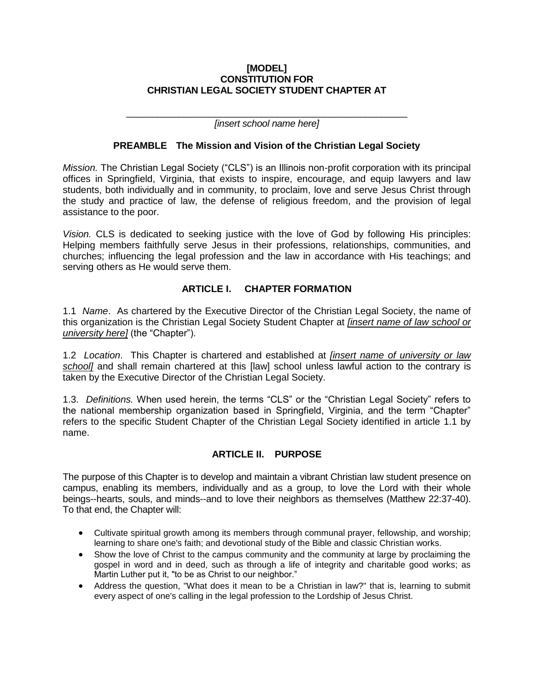#### **[MODEL] CONSTITUTION FOR CHRISTIAN LEGAL SOCIETY STUDENT CHAPTER AT**

\_\_\_\_\_\_\_\_\_\_\_\_\_\_\_\_\_\_\_\_\_\_\_\_\_\_\_\_\_\_\_\_\_\_\_\_\_\_\_\_\_\_\_\_\_\_\_\_\_\_\_\_\_\_ *[insert school name here]*

# **PREAMBLE The Mission and Vision of the Christian Legal Society**

*Mission.* The Christian Legal Society ("CLS") is an Illinois non-profit corporation with its principal offices in Springfield, Virginia, that exists to inspire, encourage, and equip lawyers and law students, both individually and in community, to proclaim, love and serve Jesus Christ through the study and practice of law, the defense of religious freedom, and the provision of legal assistance to the poor.

*Vision.* CLS is dedicated to seeking justice with the love of God by following His principles: Helping members faithfully serve Jesus in their professions, relationships, communities, and churches; influencing the legal profession and the law in accordance with His teachings; and serving others as He would serve them.

# **ARTICLE I. CHAPTER FORMATION**

1.1 *Name*. As chartered by the Executive Director of the Christian Legal Society, the name of this organization is the Christian Legal Society Student Chapter at *[insert name of law school or university here]* (the "Chapter").

1.2 *Location*. This Chapter is chartered and established at *[insert name of university or law school]* and shall remain chartered at this [law] school unless lawful action to the contrary is taken by the Executive Director of the Christian Legal Society.

1.3. *Definitions.* When used herein, the terms "CLS" or the "Christian Legal Society" refers to the national membership organization based in Springfield, Virginia, and the term "Chapter" refers to the specific Student Chapter of the Christian Legal Society identified in article 1.1 by name.

# **ARTICLE II. PURPOSE**

The purpose of this Chapter is to develop and maintain a vibrant Christian law student presence on campus, enabling its members, individually and as a group, to love the Lord with their whole beings--hearts, souls, and minds--and to love their neighbors as themselves (Matthew 22:37-40). To that end, the Chapter will:

- Cultivate spiritual growth among its members through communal prayer, fellowship, and worship; learning to share one's faith; and devotional study of the Bible and classic Christian works.
- Show the love of Christ to the campus community and the community at large by proclaiming the gospel in word and in deed, such as through a life of integrity and charitable good works; as Martin Luther put it, "to be as Christ to our neighbor."
- Address the question, "What does it mean to be a Christian in law?" that is, learning to submit every aspect of one's calling in the legal profession to the Lordship of Jesus Christ.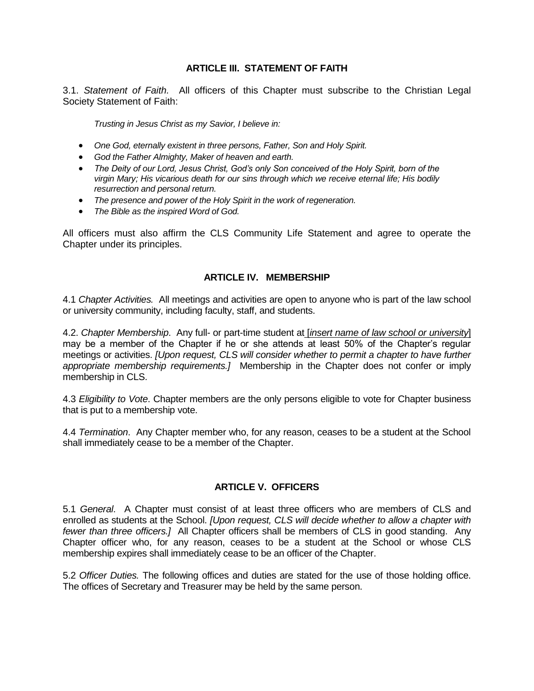# **ARTICLE III. STATEMENT OF FAITH**

3.1. *Statement of Faith.* All officers of this Chapter must subscribe to the Christian Legal Society Statement of Faith:

*Trusting in Jesus Christ as my Savior, I believe in:*

- *One God, eternally existent in three persons, Father, Son and Holy Spirit.*
- *God the Father Almighty, Maker of heaven and earth.*
- The Deity of our Lord, Jesus Christ, God's only Son conceived of the Holy Spirit, born of the *virgin Mary; His vicarious death for our sins through which we receive eternal life; His bodily resurrection and personal return.*
- *The presence and power of the Holy Spirit in the work of regeneration.*
- *The Bible as the inspired Word of God.*

All officers must also affirm the CLS Community Life Statement and agree to operate the Chapter under its principles.

## **ARTICLE IV. MEMBERSHIP**

4.1 *Chapter Activities.* All meetings and activities are open to anyone who is part of the law school or university community, including faculty, staff, and students.

4.2. *Chapter Membership*. Any full- or part-time student at [*insert name of law school or university*] may be a member of the Chapter if he or she attends at least 50% of the Chapter's regular meetings or activities. *[Upon request, CLS will consider whether to permit a chapter to have further appropriate membership requirements.]* Membership in the Chapter does not confer or imply membership in CLS.

4.3 *Eligibility to Vote*. Chapter members are the only persons eligible to vote for Chapter business that is put to a membership vote.

4.4 *Termination*. Any Chapter member who, for any reason, ceases to be a student at the School shall immediately cease to be a member of the Chapter.

#### **ARTICLE V. OFFICERS**

5.1 *General*. A Chapter must consist of at least three officers who are members of CLS and enrolled as students at the School. *[Upon request, CLS will decide whether to allow a chapter with fewer than three officers.]* All Chapter officers shall be members of CLS in good standing. Any Chapter officer who, for any reason, ceases to be a student at the School or whose CLS membership expires shall immediately cease to be an officer of th*e* Chapter.

5.2 *Officer Duties.* The following offices and duties are stated for the use of those holding office. The offices of Secretary and Treasurer may be held by the same person.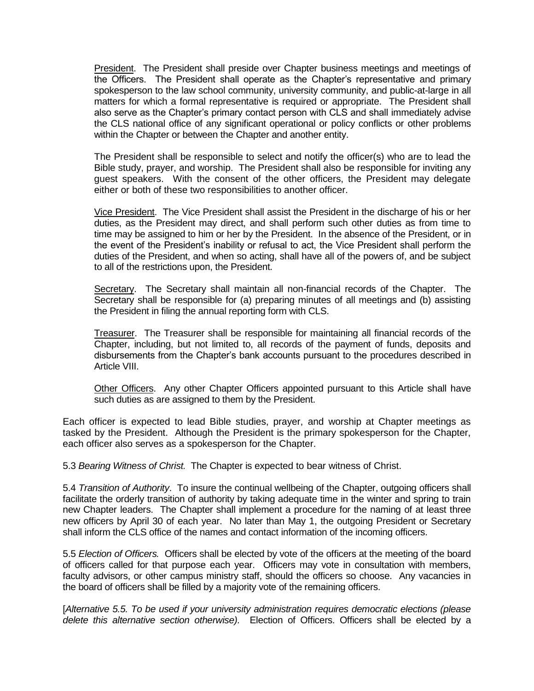President. The President shall preside over Chapter business meetings and meetings of the Officers. The President shall operate as the Chapter's representative and primary spokesperson to the law school community, university community, and public-at-large in all matters for which a formal representative is required or appropriate. The President shall also serve as the Chapter's primary contact person with CLS and shall immediately advise the CLS national office of any significant operational or policy conflicts or other problems within the Chapter or between the Chapter and another entity.

The President shall be responsible to select and notify the officer(s) who are to lead the Bible study, prayer, and worship. The President shall also be responsible for inviting any guest speakers. With the consent of the other officers, the President may delegate either or both of these two responsibilities to another officer.

Vice President. The Vice President shall assist the President in the discharge of his or her duties, as the President may direct, and shall perform such other duties as from time to time may be assigned to him or her by the President. In the absence of the President, or in the event of the President's inability or refusal to act, the Vice President shall perform the duties of the President, and when so acting, shall have all of the powers of, and be subject to all of the restrictions upon, the President.

Secretary. The Secretary shall maintain all non-financial records of the Chapter. The Secretary shall be responsible for (a) preparing minutes of all meetings and (b) assisting the President in filing the annual reporting form with CLS.

Treasurer. The Treasurer shall be responsible for maintaining all financial records of the Chapter, including, but not limited to, all records of the payment of funds, deposits and disbursements from the Chapter's bank accounts pursuant to the procedures described in Article VIII.

Other Officers. Any other Chapter Officers appointed pursuant to this Article shall have such duties as are assigned to them by the President.

Each officer is expected to lead Bible studies, prayer, and worship at Chapter meetings as tasked by the President. Although the President is the primary spokesperson for the Chapter, each officer also serves as a spokesperson for the Chapter.

5.3 *Bearing Witness of Christ.* The Chapter is expected to bear witness of Christ.

5.4 *Transition of Authority*. To insure the continual wellbeing of the Chapter, outgoing officers shall facilitate the orderly transition of authority by taking adequate time in the winter and spring to train new Chapter leaders. The Chapter shall implement a procedure for the naming of at least three new officers by April 30 of each year. No later than May 1, the outgoing President or Secretary shall inform the CLS office of the names and contact information of the incoming officers.

5.5 *Election of Officers.* Officers shall be elected by vote of the officers at the meeting of the board of officers called for that purpose each year. Officers may vote in consultation with members, faculty advisors, or other campus ministry staff, should the officers so choose. Any vacancies in the board of officers shall be filled by a majority vote of the remaining officers.

[*Alternative 5.5. To be used if your university administration requires democratic elections (please delete this alternative section otherwise).* Election of Officers. Officers shall be elected by a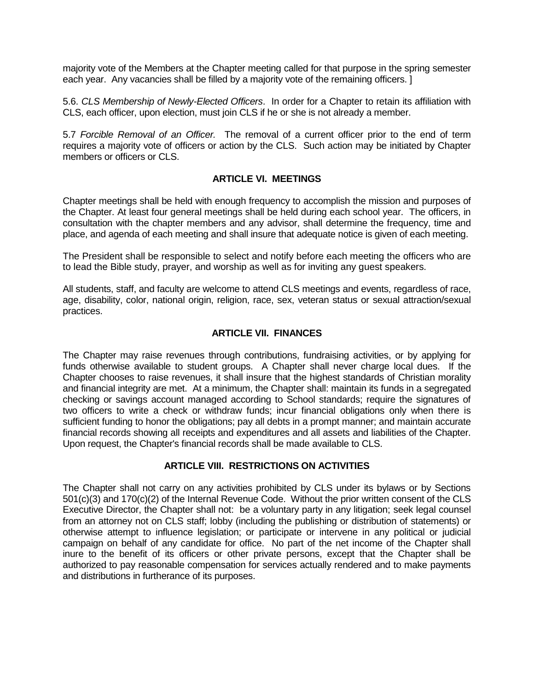majority vote of the Members at the Chapter meeting called for that purpose in the spring semester each year. Any vacancies shall be filled by a majority vote of the remaining officers. ]

5.6. *CLS Membership of Newly-Elected Officers*. In order for a Chapter to retain its affiliation with CLS, each officer, upon election, must join CLS if he or she is not already a member.

5.7 *Forcible Removal of an Officer.* The removal of a current officer prior to the end of term requires a majority vote of officers or action by the CLS. Such action may be initiated by Chapter members or officers or CLS.

## **ARTICLE VI. MEETINGS**

Chapter meetings shall be held with enough frequency to accomplish the mission and purposes of the Chapter. At least four general meetings shall be held during each school year. The officers, in consultation with the chapter members and any advisor, shall determine the frequency, time and place, and agenda of each meeting and shall insure that adequate notice is given of each meeting.

The President shall be responsible to select and notify before each meeting the officers who are to lead the Bible study, prayer, and worship as well as for inviting any guest speakers.

All students, staff, and faculty are welcome to attend CLS meetings and events, regardless of race, age, disability, color, national origin, religion, race, sex, veteran status or sexual attraction/sexual practices.

# **ARTICLE VII. FINANCES**

The Chapter may raise revenues through contributions, fundraising activities, or by applying for funds otherwise available to student groups. A Chapter shall never charge local dues. If the Chapter chooses to raise revenues, it shall insure that the highest standards of Christian morality and financial integrity are met. At a minimum, the Chapter shall: maintain its funds in a segregated checking or savings account managed according to School standards; require the signatures of two officers to write a check or withdraw funds; incur financial obligations only when there is sufficient funding to honor the obligations; pay all debts in a prompt manner; and maintain accurate financial records showing all receipts and expenditures and all assets and liabilities of the Chapter. Upon request, the Chapter's financial records shall be made available to CLS.

#### **ARTICLE VIII. RESTRICTIONS ON ACTIVITIES**

The Chapter shall not carry on any activities prohibited by CLS under its bylaws or by Sections 501(c)(3) and 170(c)(2) of the Internal Revenue Code. Without the prior written consent of the CLS Executive Director, the Chapter shall not: be a voluntary party in any litigation; seek legal counsel from an attorney not on CLS staff; lobby (including the publishing or distribution of statements) or otherwise attempt to influence legislation; or participate or intervene in any political or judicial campaign on behalf of any candidate for office. No part of the net income of the Chapter shall inure to the benefit of its officers or other private persons, except that the Chapter shall be authorized to pay reasonable compensation for services actually rendered and to make payments and distributions in furtherance of its purposes.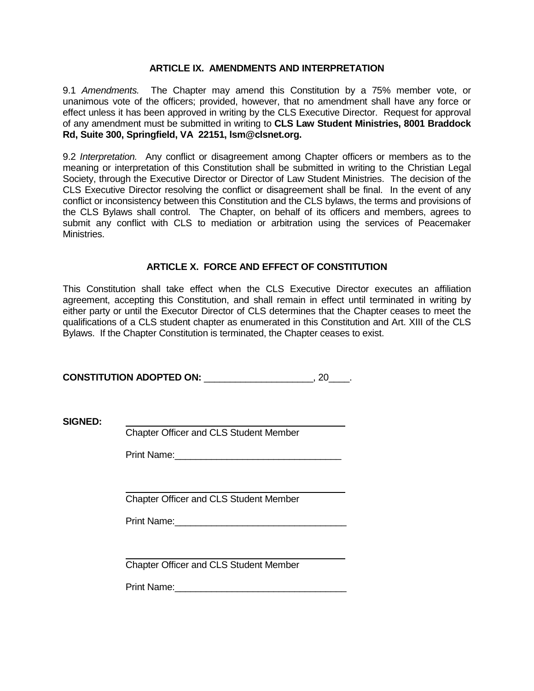## **ARTICLE IX. AMENDMENTS AND INTERPRETATION**

9.1 *Amendments.* The Chapter may amend this Constitution by a 75% member vote, or unanimous vote of the officers; provided, however, that no amendment shall have any force or effect unless it has been approved in writing by the CLS Executive Director. Request for approval of any amendment must be submitted in writing to **CLS Law Student Ministries, 8001 Braddock Rd, Suite 300, Springfield, VA 22151, lsm@clsnet.org.**

9.2 *Interpretation.* Any conflict or disagreement among Chapter officers or members as to the meaning or interpretation of this Constitution shall be submitted in writing to the Christian Legal Society, through the Executive Director or Director of Law Student Ministries. The decision of the CLS Executive Director resolving the conflict or disagreement shall be final. In the event of any conflict or inconsistency between this Constitution and the CLS bylaws, the terms and provisions of the CLS Bylaws shall control. The Chapter, on behalf of its officers and members, agrees to submit any conflict with CLS to mediation or arbitration using the services of Peacemaker Ministries.

# **ARTICLE X. FORCE AND EFFECT OF CONSTITUTION**

This Constitution shall take effect when the CLS Executive Director executes an affiliation agreement, accepting this Constitution, and shall remain in effect until terminated in writing by either party or until the Executor Director of CLS determines that the Chapter ceases to meet the qualifications of a CLS student chapter as enumerated in this Constitution and Art. XIII of the CLS Bylaws. If the Chapter Constitution is terminated, the Chapter ceases to exist.

**CONSTITUTION ADOPTED ON:** \_\_\_\_\_\_\_\_\_\_\_\_\_\_\_\_\_\_\_\_\_, 20\_\_\_\_.

**SIGNED:**

Chapter Officer and CLS Student Member

Print Name:

Chapter Officer and CLS Student Member

Print Name:

Chapter Officer and CLS Student Member

Print Name: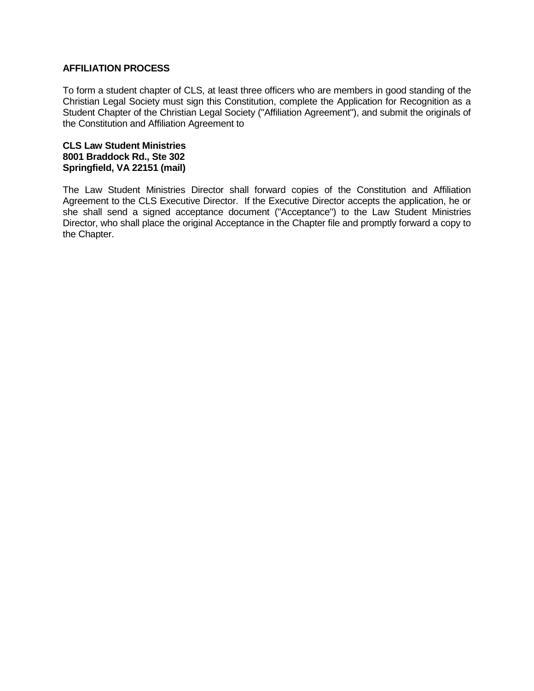## **AFFILIATION PROCESS**

To form a student chapter of CLS, at least three officers who are members in good standing of the Christian Legal Society must sign this Constitution, complete the Application for Recognition as a Student Chapter of the Christian Legal Society ("Affiliation Agreement"), and submit the originals of the Constitution and Affiliation Agreement to

#### **CLS Law Student Ministries 8001 Braddock Rd., Ste 302 Springfield, VA 22151 (mail)**

The Law Student Ministries Director shall forward copies of the Constitution and Affiliation Agreement to the CLS Executive Director. If the Executive Director accepts the application, he or she shall send a signed acceptance document ("Acceptance") to the Law Student Ministries Director, who shall place the original Acceptance in the Chapter file and promptly forward a copy to the Chapter.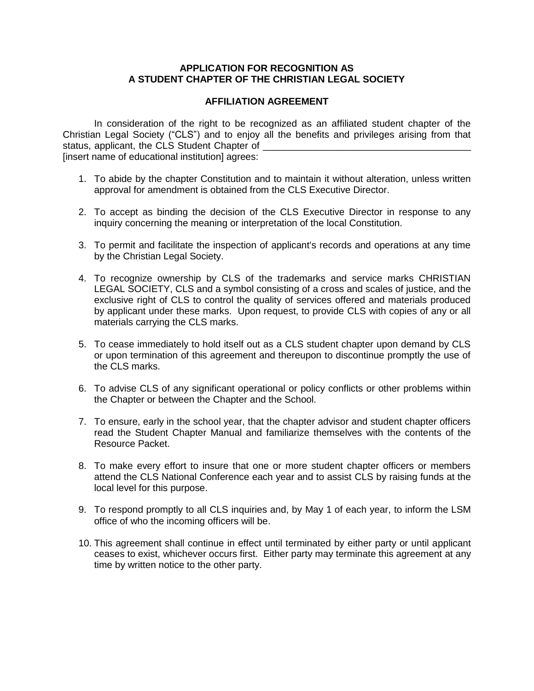# **APPLICATION FOR RECOGNITION AS A STUDENT CHAPTER OF THE CHRISTIAN LEGAL SOCIETY**

## **AFFILIATION AGREEMENT**

In consideration of the right to be recognized as an affiliated student chapter of the Christian Legal Society ("CLS") and to enjoy all the benefits and privileges arising from that status, applicant, the CLS Student Chapter of [insert name of educational institution] agrees:

- 1. To abide by the chapter Constitution and to maintain it without alteration, unless written approval for amendment is obtained from the CLS Executive Director.
- 2. To accept as binding the decision of the CLS Executive Director in response to any inquiry concerning the meaning or interpretation of the local Constitution.
- 3. To permit and facilitate the inspection of applicant's records and operations at any time by the Christian Legal Society.
- 4. To recognize ownership by CLS of the trademarks and service marks CHRISTIAN LEGAL SOCIETY, CLS and a symbol consisting of a cross and scales of justice, and the exclusive right of CLS to control the quality of services offered and materials produced by applicant under these marks. Upon request, to provide CLS with copies of any or all materials carrying the CLS marks.
- 5. To cease immediately to hold itself out as a CLS student chapter upon demand by CLS or upon termination of this agreement and thereupon to discontinue promptly the use of the CLS marks.
- 6. To advise CLS of any significant operational or policy conflicts or other problems within the Chapter or between the Chapter and the School.
- 7. To ensure, early in the school year, that the chapter advisor and student chapter officers read the Student Chapter Manual and familiarize themselves with the contents of the Resource Packet.
- 8. To make every effort to insure that one or more student chapter officers or members attend the CLS National Conference each year and to assist CLS by raising funds at the local level for this purpose.
- 9. To respond promptly to all CLS inquiries and, by May 1 of each year, to inform the LSM office of who the incoming officers will be.
- 10. This agreement shall continue in effect until terminated by either party or until applicant ceases to exist, whichever occurs first. Either party may terminate this agreement at any time by written notice to the other party.